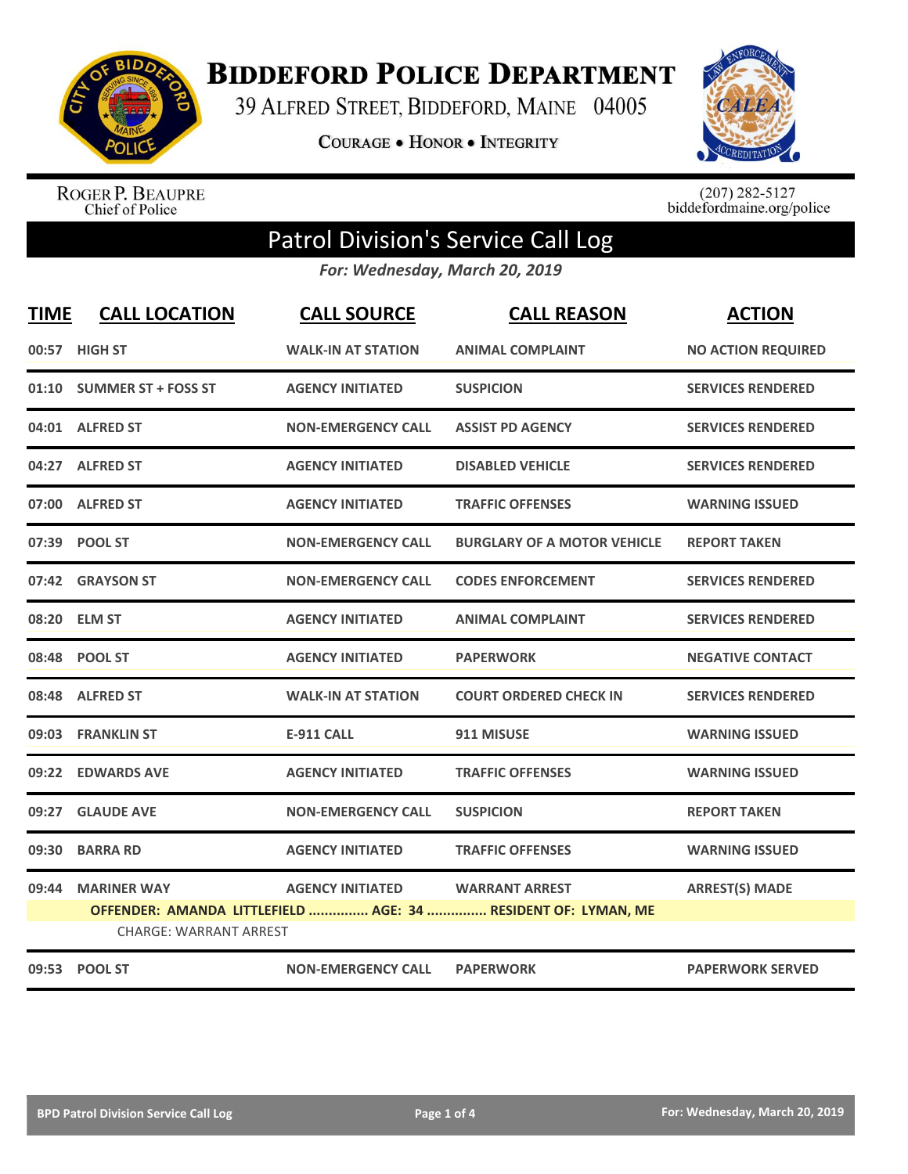

**BIDDEFORD POLICE DEPARTMENT** 

39 ALFRED STREET, BIDDEFORD, MAINE 04005

**COURAGE . HONOR . INTEGRITY** 



ROGER P. BEAUPRE<br>Chief of Police

 $(207)$  282-5127<br>biddefordmaine.org/police

## Patrol Division's Service Call Log

*For: Wednesday, March 20, 2019*

| <b>TIME</b> | <b>CALL LOCATION</b>          | <b>CALL SOURCE</b>        | <b>CALL REASON</b>                                            | <b>ACTION</b>             |
|-------------|-------------------------------|---------------------------|---------------------------------------------------------------|---------------------------|
|             | 00:57 HIGH ST                 | <b>WALK-IN AT STATION</b> | <b>ANIMAL COMPLAINT</b>                                       | <b>NO ACTION REQUIRED</b> |
|             | 01:10 SUMMER ST + FOSS ST     | <b>AGENCY INITIATED</b>   | <b>SUSPICION</b>                                              | <b>SERVICES RENDERED</b>  |
|             | 04:01 ALFRED ST               | <b>NON-EMERGENCY CALL</b> | <b>ASSIST PD AGENCY</b>                                       | <b>SERVICES RENDERED</b>  |
|             | 04:27 ALFRED ST               | <b>AGENCY INITIATED</b>   | <b>DISABLED VEHICLE</b>                                       | <b>SERVICES RENDERED</b>  |
|             | 07:00 ALFRED ST               | <b>AGENCY INITIATED</b>   | <b>TRAFFIC OFFENSES</b>                                       | <b>WARNING ISSUED</b>     |
|             | 07:39 POOL ST                 | <b>NON-EMERGENCY CALL</b> | <b>BURGLARY OF A MOTOR VEHICLE</b>                            | <b>REPORT TAKEN</b>       |
|             | 07:42 GRAYSON ST              | <b>NON-EMERGENCY CALL</b> | <b>CODES ENFORCEMENT</b>                                      | <b>SERVICES RENDERED</b>  |
|             | 08:20 ELM ST                  | <b>AGENCY INITIATED</b>   | <b>ANIMAL COMPLAINT</b>                                       | <b>SERVICES RENDERED</b>  |
|             | 08:48 POOL ST                 | <b>AGENCY INITIATED</b>   | <b>PAPERWORK</b>                                              | <b>NEGATIVE CONTACT</b>   |
|             | 08:48 ALFRED ST               | <b>WALK-IN AT STATION</b> | <b>COURT ORDERED CHECK IN</b>                                 | <b>SERVICES RENDERED</b>  |
|             | 09:03 FRANKLIN ST             | <b>E-911 CALL</b>         | 911 MISUSE                                                    | <b>WARNING ISSUED</b>     |
|             | 09:22 EDWARDS AVE             | <b>AGENCY INITIATED</b>   | <b>TRAFFIC OFFENSES</b>                                       | <b>WARNING ISSUED</b>     |
| 09:27       | <b>GLAUDE AVE</b>             | <b>NON-EMERGENCY CALL</b> | <b>SUSPICION</b>                                              | <b>REPORT TAKEN</b>       |
| 09:30       | <b>BARRA RD</b>               | <b>AGENCY INITIATED</b>   | <b>TRAFFIC OFFENSES</b>                                       | <b>WARNING ISSUED</b>     |
| 09:44       | <b>MARINER WAY</b>            | <b>AGENCY INITIATED</b>   | <b>WARRANT ARREST</b>                                         | <b>ARREST(S) MADE</b>     |
|             | <b>CHARGE: WARRANT ARREST</b> |                           | OFFENDER: AMANDA LITTLEFIELD  AGE: 34  RESIDENT OF: LYMAN, ME |                           |
|             | 09:53 POOL ST                 | <b>NON-EMERGENCY CALL</b> | <b>PAPERWORK</b>                                              | <b>PAPERWORK SERVED</b>   |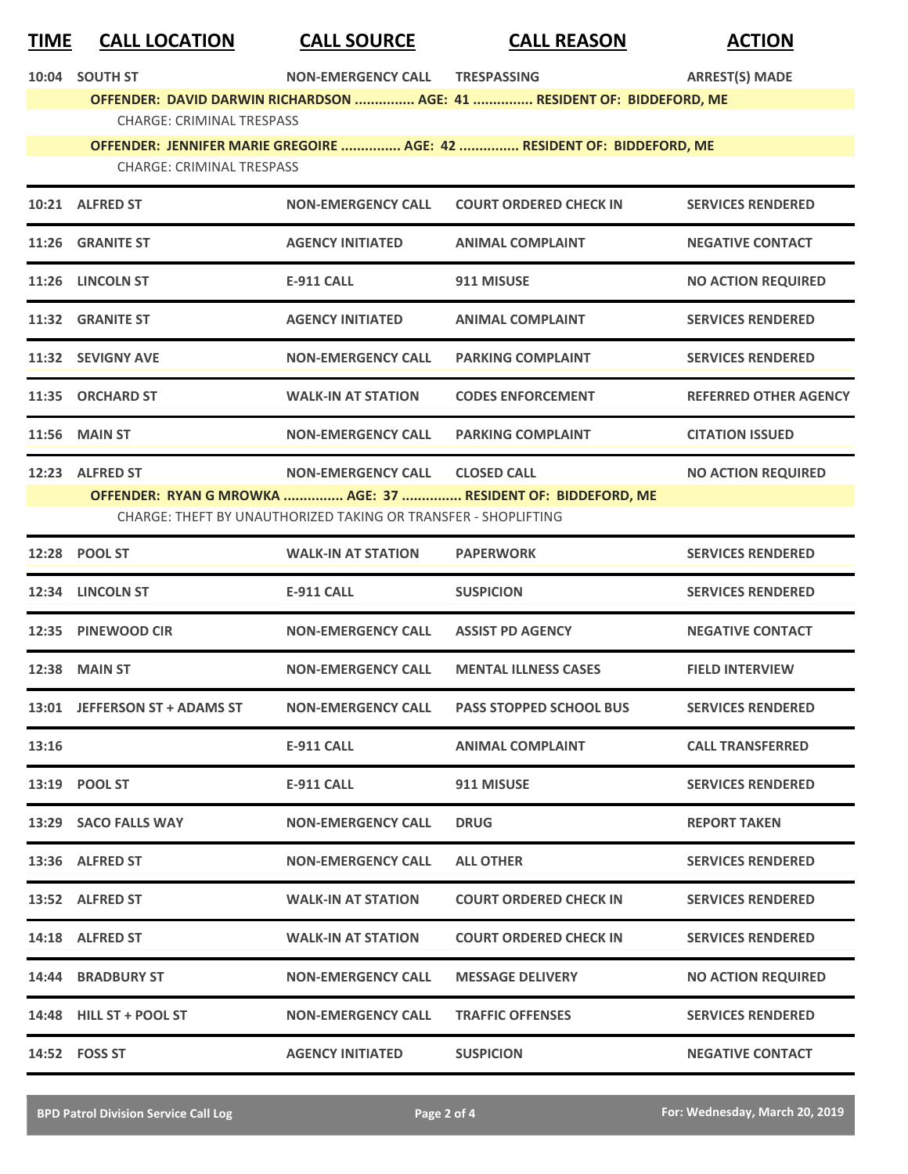| <u>TIME</u> | <b>CALL LOCATION</b>             | <b>CALL SOURCE</b>                                             | <b>CALL REASON</b>                                                     | <b>ACTION</b>                |
|-------------|----------------------------------|----------------------------------------------------------------|------------------------------------------------------------------------|------------------------------|
| 10:04       | <b>SOUTH ST</b>                  | <b>NON-EMERGENCY CALL</b>                                      | <b>TRESPASSING</b>                                                     | <b>ARREST(S) MADE</b>        |
|             | <b>CHARGE: CRIMINAL TRESPASS</b> |                                                                | OFFENDER: DAVID DARWIN RICHARDSON  AGE: 41  RESIDENT OF: BIDDEFORD, ME |                              |
|             |                                  |                                                                | OFFENDER: JENNIFER MARIE GREGOIRE  AGE: 42  RESIDENT OF: BIDDEFORD, ME |                              |
|             | <b>CHARGE: CRIMINAL TRESPASS</b> |                                                                |                                                                        |                              |
|             | 10:21 ALFRED ST                  | <b>NON-EMERGENCY CALL</b>                                      | <b>COURT ORDERED CHECK IN</b>                                          | <b>SERVICES RENDERED</b>     |
|             | 11:26 GRANITE ST                 | <b>AGENCY INITIATED</b>                                        | <b>ANIMAL COMPLAINT</b>                                                | <b>NEGATIVE CONTACT</b>      |
|             | 11:26 LINCOLN ST                 | <b>E-911 CALL</b>                                              | 911 MISUSE                                                             | <b>NO ACTION REQUIRED</b>    |
|             | 11:32 GRANITE ST                 | <b>AGENCY INITIATED</b>                                        | <b>ANIMAL COMPLAINT</b>                                                | <b>SERVICES RENDERED</b>     |
|             | 11:32 SEVIGNY AVE                | <b>NON-EMERGENCY CALL</b>                                      | <b>PARKING COMPLAINT</b>                                               | <b>SERVICES RENDERED</b>     |
|             | 11:35 ORCHARD ST                 | <b>WALK-IN AT STATION</b>                                      | <b>CODES ENFORCEMENT</b>                                               | <b>REFERRED OTHER AGENCY</b> |
|             | <b>11:56 MAIN ST</b>             | <b>NON-EMERGENCY CALL</b>                                      | <b>PARKING COMPLAINT</b>                                               | <b>CITATION ISSUED</b>       |
|             | 12:23 ALFRED ST                  | <b>NON-EMERGENCY CALL</b>                                      | <b>CLOSED CALL</b>                                                     | <b>NO ACTION REQUIRED</b>    |
|             |                                  | CHARGE: THEFT BY UNAUTHORIZED TAKING OR TRANSFER - SHOPLIFTING | OFFENDER: RYAN G MROWKA  AGE: 37  RESIDENT OF: BIDDEFORD, ME           |                              |
|             | 12:28 POOL ST                    | <b>WALK-IN AT STATION</b>                                      | <b>PAPERWORK</b>                                                       | <b>SERVICES RENDERED</b>     |
|             | 12:34 LINCOLN ST                 | <b>E-911 CALL</b>                                              | <b>SUSPICION</b>                                                       | <b>SERVICES RENDERED</b>     |
| 12:35       | <b>PINEWOOD CIR</b>              | <b>NON-EMERGENCY CALL</b>                                      | <b>ASSIST PD AGENCY</b>                                                | <b>NEGATIVE CONTACT</b>      |
|             | <b>12:38 MAIN ST</b>             | <b>NON-EMERGENCY CALL</b>                                      | <b>MENTAL ILLNESS CASES</b>                                            | <b>FIELD INTERVIEW</b>       |
|             | 13:01 JEFFERSON ST + ADAMS ST    | <b>NON-EMERGENCY CALL</b>                                      | <b>PASS STOPPED SCHOOL BUS</b>                                         | <b>SERVICES RENDERED</b>     |
| 13:16       |                                  | <b>E-911 CALL</b>                                              | <b>ANIMAL COMPLAINT</b>                                                | <b>CALL TRANSFERRED</b>      |
|             | 13:19 POOL ST                    | <b>E-911 CALL</b>                                              | 911 MISUSE                                                             | <b>SERVICES RENDERED</b>     |
|             | 13:29 SACO FALLS WAY             | <b>NON-EMERGENCY CALL</b>                                      | <b>DRUG</b>                                                            | <b>REPORT TAKEN</b>          |
|             | 13:36 ALFRED ST                  | <b>NON-EMERGENCY CALL</b>                                      | <b>ALL OTHER</b>                                                       | <b>SERVICES RENDERED</b>     |
|             | 13:52 ALFRED ST                  | <b>WALK-IN AT STATION</b>                                      | <b>COURT ORDERED CHECK IN</b>                                          | <b>SERVICES RENDERED</b>     |
|             | 14:18 ALFRED ST                  | <b>WALK-IN AT STATION</b>                                      | <b>COURT ORDERED CHECK IN</b>                                          | <b>SERVICES RENDERED</b>     |
|             | 14:44 BRADBURY ST                | <b>NON-EMERGENCY CALL</b>                                      | <b>MESSAGE DELIVERY</b>                                                | <b>NO ACTION REQUIRED</b>    |
|             | 14:48 HILL ST + POOL ST          | <b>NON-EMERGENCY CALL</b>                                      | <b>TRAFFIC OFFENSES</b>                                                | <b>SERVICES RENDERED</b>     |
|             | 14:52    FOSS ST                 | <b>AGENCY INITIATED</b>                                        | <b>SUSPICION</b>                                                       | <b>NEGATIVE CONTACT</b>      |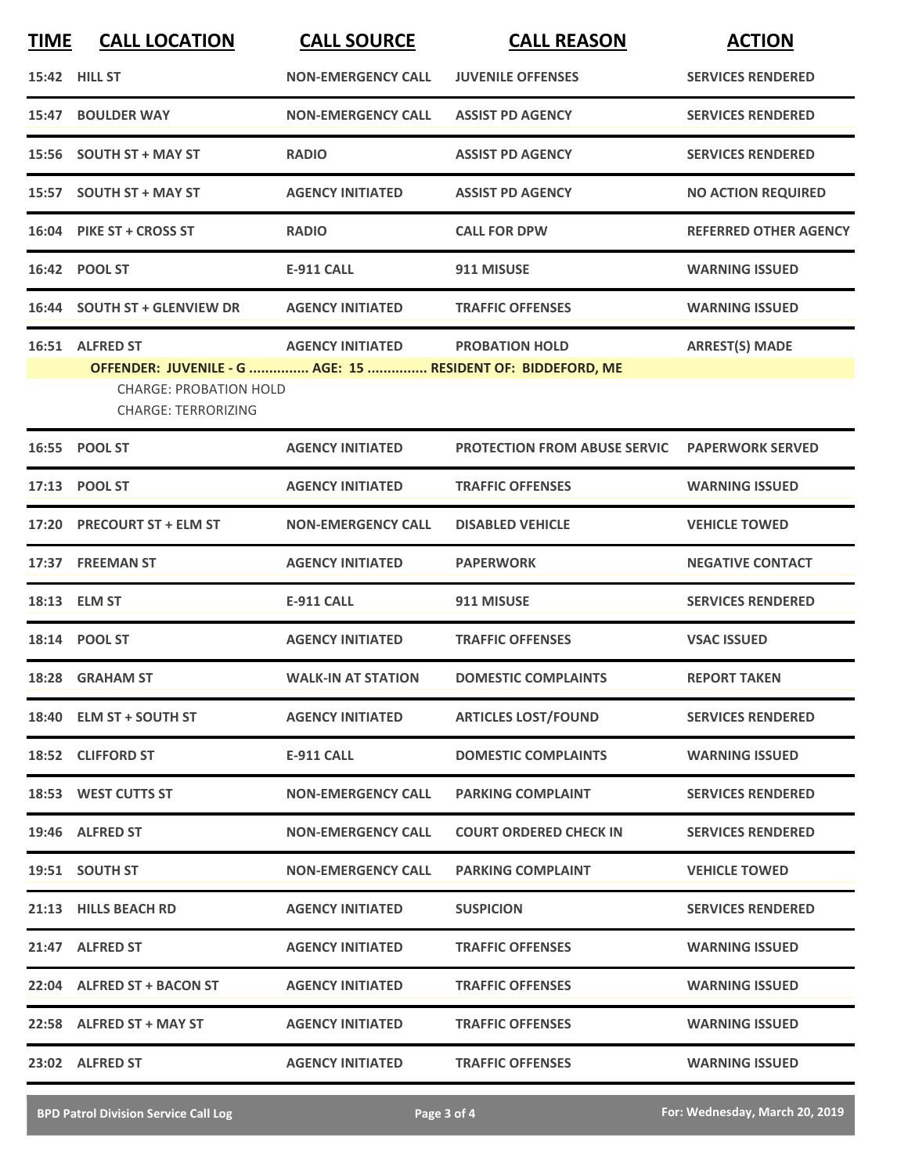| <b>TIME</b> | <b>CALL LOCATION</b>                                                                                                                          | <b>CALL SOURCE</b>        | <b>CALL REASON</b>                  | <b>ACTION</b>                |
|-------------|-----------------------------------------------------------------------------------------------------------------------------------------------|---------------------------|-------------------------------------|------------------------------|
|             | 15:42 HILL ST                                                                                                                                 | <b>NON-EMERGENCY CALL</b> | <b>JUVENILE OFFENSES</b>            | <b>SERVICES RENDERED</b>     |
| 15:47       | <b>BOULDER WAY</b>                                                                                                                            | <b>NON-EMERGENCY CALL</b> | <b>ASSIST PD AGENCY</b>             | <b>SERVICES RENDERED</b>     |
|             | 15:56 SOUTH ST + MAY ST                                                                                                                       | <b>RADIO</b>              | <b>ASSIST PD AGENCY</b>             | <b>SERVICES RENDERED</b>     |
|             | 15:57 SOUTH ST + MAY ST                                                                                                                       | <b>AGENCY INITIATED</b>   | <b>ASSIST PD AGENCY</b>             | <b>NO ACTION REQUIRED</b>    |
|             | 16:04 PIKE ST + CROSS ST                                                                                                                      | <b>RADIO</b>              | <b>CALL FOR DPW</b>                 | <b>REFERRED OTHER AGENCY</b> |
|             | 16:42 POOL ST                                                                                                                                 | <b>E-911 CALL</b>         | 911 MISUSE                          | <b>WARNING ISSUED</b>        |
|             | 16:44 SOUTH ST + GLENVIEW DR                                                                                                                  | <b>AGENCY INITIATED</b>   | <b>TRAFFIC OFFENSES</b>             | <b>WARNING ISSUED</b>        |
|             | 16:51 ALFRED ST<br>OFFENDER: JUVENILE - G  AGE: 15  RESIDENT OF: BIDDEFORD, ME<br><b>CHARGE: PROBATION HOLD</b><br><b>CHARGE: TERRORIZING</b> | <b>AGENCY INITIATED</b>   | <b>PROBATION HOLD</b>               | <b>ARREST(S) MADE</b>        |
|             | 16:55 POOL ST                                                                                                                                 | <b>AGENCY INITIATED</b>   | <b>PROTECTION FROM ABUSE SERVIC</b> | <b>PAPERWORK SERVED</b>      |
|             | 17:13 POOL ST                                                                                                                                 | <b>AGENCY INITIATED</b>   | <b>TRAFFIC OFFENSES</b>             | <b>WARNING ISSUED</b>        |
| 17:20       | <b>PRECOURT ST + ELM ST</b>                                                                                                                   | <b>NON-EMERGENCY CALL</b> | <b>DISABLED VEHICLE</b>             | <b>VEHICLE TOWED</b>         |
|             | 17:37 FREEMAN ST                                                                                                                              | <b>AGENCY INITIATED</b>   | <b>PAPERWORK</b>                    | <b>NEGATIVE CONTACT</b>      |
|             | 18:13 ELM ST                                                                                                                                  | <b>E-911 CALL</b>         | 911 MISUSE                          | <b>SERVICES RENDERED</b>     |
|             | 18:14 POOL ST                                                                                                                                 | <b>AGENCY INITIATED</b>   | <b>TRAFFIC OFFENSES</b>             | <b>VSAC ISSUED</b>           |
|             | 18:28 GRAHAM ST                                                                                                                               | <b>WALK-IN AT STATION</b> | <b>DOMESTIC COMPLAINTS</b>          | <b>REPORT TAKEN</b>          |
|             | 18:40 ELM ST + SOUTH ST                                                                                                                       | <b>AGENCY INITIATED</b>   | <b>ARTICLES LOST/FOUND</b>          | <b>SERVICES RENDERED</b>     |
|             | 18:52 CLIFFORD ST                                                                                                                             | E-911 CALL                | <b>DOMESTIC COMPLAINTS</b>          | <b>WARNING ISSUED</b>        |
|             | 18:53 WEST CUTTS ST                                                                                                                           | <b>NON-EMERGENCY CALL</b> | <b>PARKING COMPLAINT</b>            | <b>SERVICES RENDERED</b>     |
|             | 19:46 ALFRED ST                                                                                                                               | <b>NON-EMERGENCY CALL</b> | <b>COURT ORDERED CHECK IN</b>       | <b>SERVICES RENDERED</b>     |
|             | 19:51 SOUTH ST                                                                                                                                | <b>NON-EMERGENCY CALL</b> | <b>PARKING COMPLAINT</b>            | <b>VEHICLE TOWED</b>         |
|             | 21:13 HILLS BEACH RD                                                                                                                          | <b>AGENCY INITIATED</b>   | <b>SUSPICION</b>                    | <b>SERVICES RENDERED</b>     |
|             | 21:47 ALFRED ST                                                                                                                               | <b>AGENCY INITIATED</b>   | <b>TRAFFIC OFFENSES</b>             | <b>WARNING ISSUED</b>        |
|             | 22:04 ALFRED ST + BACON ST                                                                                                                    | <b>AGENCY INITIATED</b>   | <b>TRAFFIC OFFENSES</b>             | <b>WARNING ISSUED</b>        |
|             | 22:58 ALFRED ST + MAY ST                                                                                                                      | <b>AGENCY INITIATED</b>   | <b>TRAFFIC OFFENSES</b>             | <b>WARNING ISSUED</b>        |
|             | 23:02 ALFRED ST                                                                                                                               | <b>AGENCY INITIATED</b>   | <b>TRAFFIC OFFENSES</b>             | <b>WARNING ISSUED</b>        |